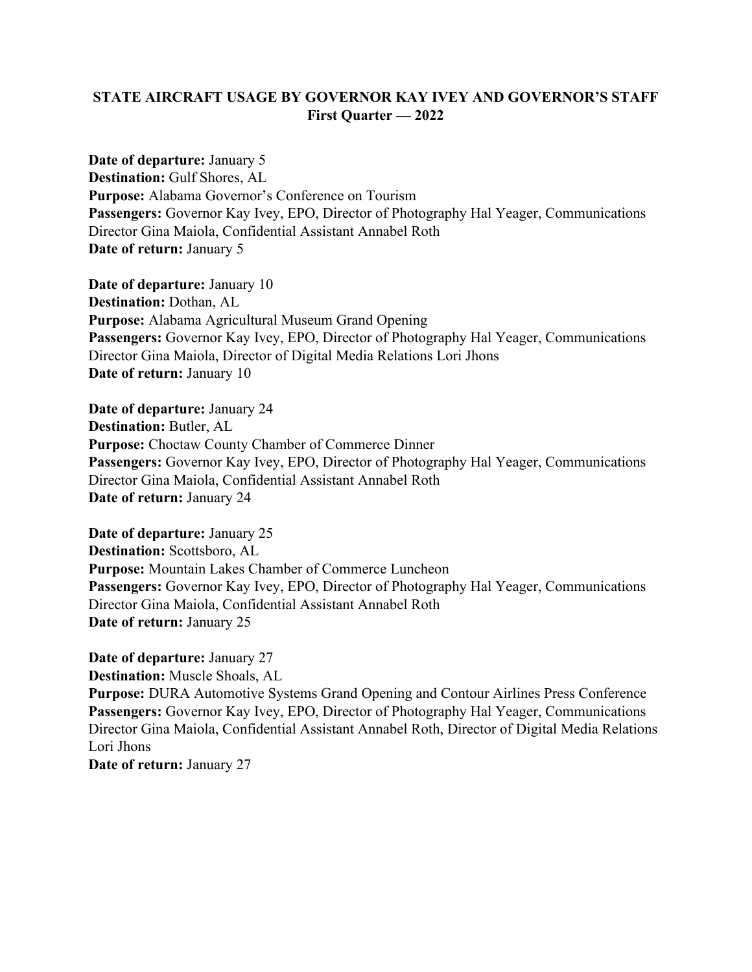## **STATE AIRCRAFT USAGE BY GOVERNOR KAY IVEY AND GOVERNOR'S STAFF First Quarter — 2022**

**Date of departure:** January 5 **Destination:** Gulf Shores, AL **Purpose:** Alabama Governor's Conference on Tourism **Passengers:** Governor Kay Ivey, EPO, Director of Photography Hal Yeager, Communications Director Gina Maiola, Confidential Assistant Annabel Roth **Date of return:** January 5

**Date of departure:** January 10 **Destination:** Dothan, AL **Purpose:** Alabama Agricultural Museum Grand Opening **Passengers:** Governor Kay Ivey, EPO, Director of Photography Hal Yeager, Communications Director Gina Maiola, Director of Digital Media Relations Lori Jhons **Date of return: January 10** 

**Date of departure:** January 24 **Destination:** Butler, AL **Purpose:** Choctaw County Chamber of Commerce Dinner **Passengers:** Governor Kay Ivey, EPO, Director of Photography Hal Yeager, Communications Director Gina Maiola, Confidential Assistant Annabel Roth **Date of return:** January 24

**Date of departure:** January 25 **Destination:** Scottsboro, AL **Purpose:** Mountain Lakes Chamber of Commerce Luncheon **Passengers:** Governor Kay Ivey, EPO, Director of Photography Hal Yeager, Communications Director Gina Maiola, Confidential Assistant Annabel Roth **Date of return: January 25** 

**Date of departure:** January 27 **Destination:** Muscle Shoals, AL

**Purpose:** DURA Automotive Systems Grand Opening and Contour Airlines Press Conference **Passengers:** Governor Kay Ivey, EPO, Director of Photography Hal Yeager, Communications Director Gina Maiola, Confidential Assistant Annabel Roth, Director of Digital Media Relations Lori Jhons

**Date of return: January 27**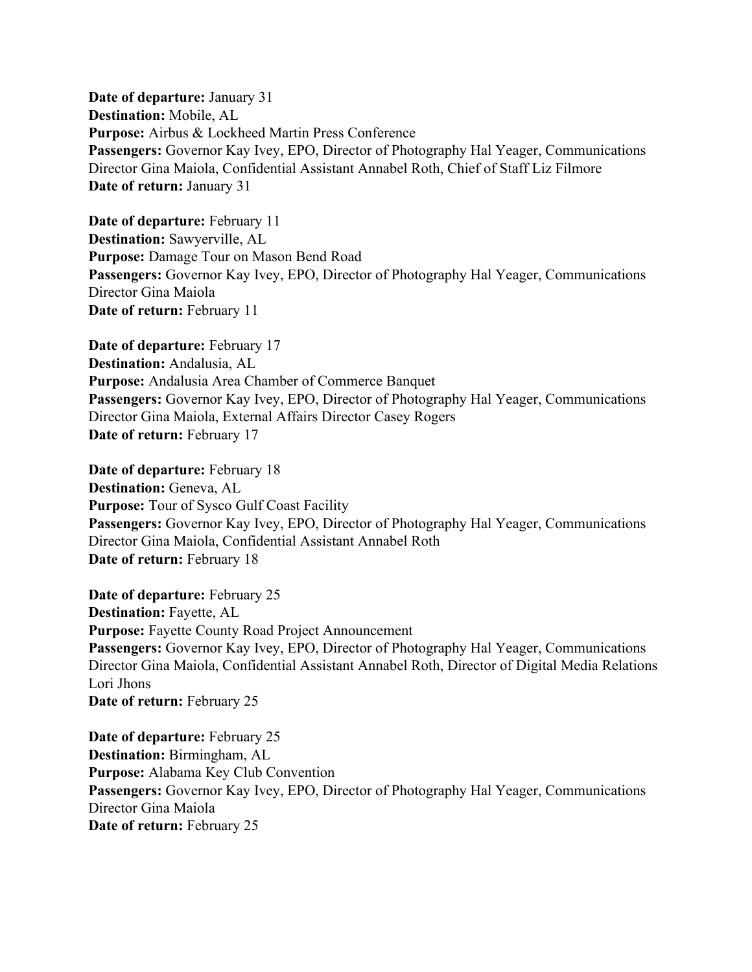**Date of departure:** January 31 **Destination:** Mobile, AL **Purpose:** Airbus & Lockheed Martin Press Conference **Passengers:** Governor Kay Ivey, EPO, Director of Photography Hal Yeager, Communications Director Gina Maiola, Confidential Assistant Annabel Roth, Chief of Staff Liz Filmore **Date of return: January 31** 

**Date of departure:** February 11 **Destination:** Sawyerville, AL **Purpose:** Damage Tour on Mason Bend Road **Passengers:** Governor Kay Ivey, EPO, Director of Photography Hal Yeager, Communications Director Gina Maiola **Date of return:** February 11

**Date of departure: February 17 Destination:** Andalusia, AL **Purpose:** Andalusia Area Chamber of Commerce Banquet **Passengers:** Governor Kay Ivey, EPO, Director of Photography Hal Yeager, Communications Director Gina Maiola, External Affairs Director Casey Rogers **Date of return: February 17** 

**Date of departure:** February 18 **Destination:** Geneva, AL **Purpose:** Tour of Sysco Gulf Coast Facility **Passengers:** Governor Kay Ivey, EPO, Director of Photography Hal Yeager, Communications Director Gina Maiola, Confidential Assistant Annabel Roth **Date of return: February 18** 

**Date of departure:** February 25 **Destination:** Fayette, AL **Purpose:** Fayette County Road Project Announcement **Passengers:** Governor Kay Ivey, EPO, Director of Photography Hal Yeager, Communications Director Gina Maiola, Confidential Assistant Annabel Roth, Director of Digital Media Relations Lori Jhons **Date of return: February 25** 

**Date of departure: February 25 Destination:** Birmingham, AL **Purpose:** Alabama Key Club Convention **Passengers:** Governor Kay Ivey, EPO, Director of Photography Hal Yeager, Communications Director Gina Maiola **Date of return: February 25**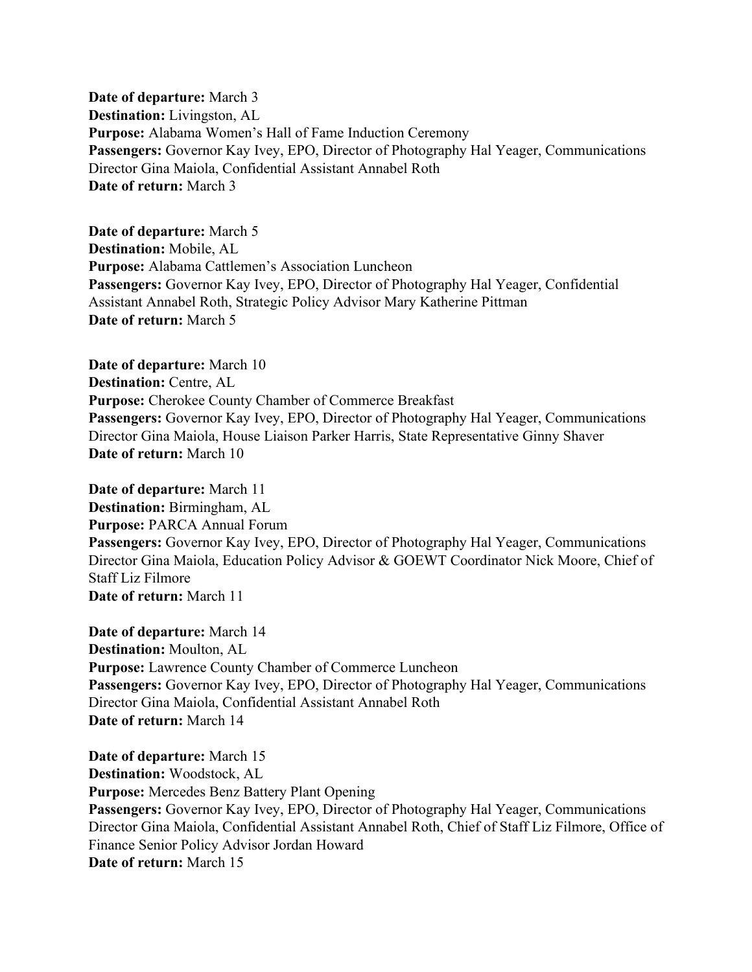**Date of departure:** March 3 **Destination:** Livingston, AL **Purpose:** Alabama Women's Hall of Fame Induction Ceremony **Passengers:** Governor Kay Ivey, EPO, Director of Photography Hal Yeager, Communications Director Gina Maiola, Confidential Assistant Annabel Roth **Date of return:** March 3

**Date of departure:** March 5 **Destination:** Mobile, AL **Purpose:** Alabama Cattlemen's Association Luncheon **Passengers:** Governor Kay Ivey, EPO, Director of Photography Hal Yeager, Confidential Assistant Annabel Roth, Strategic Policy Advisor Mary Katherine Pittman **Date of return:** March 5

**Date of departure:** March 10 **Destination:** Centre, AL **Purpose:** Cherokee County Chamber of Commerce Breakfast **Passengers:** Governor Kay Ivey, EPO, Director of Photography Hal Yeager, Communications Director Gina Maiola, House Liaison Parker Harris, State Representative Ginny Shaver **Date of return:** March 10

**Date of departure:** March 11 **Destination:** Birmingham, AL **Purpose:** PARCA Annual Forum **Passengers:** Governor Kay Ivey, EPO, Director of Photography Hal Yeager, Communications Director Gina Maiola, Education Policy Advisor & GOEWT Coordinator Nick Moore, Chief of Staff Liz Filmore **Date of return:** March 11

**Date of departure:** March 14 **Destination:** Moulton, AL **Purpose:** Lawrence County Chamber of Commerce Luncheon **Passengers:** Governor Kay Ivey, EPO, Director of Photography Hal Yeager, Communications Director Gina Maiola, Confidential Assistant Annabel Roth **Date of return:** March 14

**Date of departure:** March 15 **Destination:** Woodstock, AL **Purpose:** Mercedes Benz Battery Plant Opening **Passengers:** Governor Kay Ivey, EPO, Director of Photography Hal Yeager, Communications Director Gina Maiola, Confidential Assistant Annabel Roth, Chief of Staff Liz Filmore, Office of Finance Senior Policy Advisor Jordan Howard **Date of return:** March 15